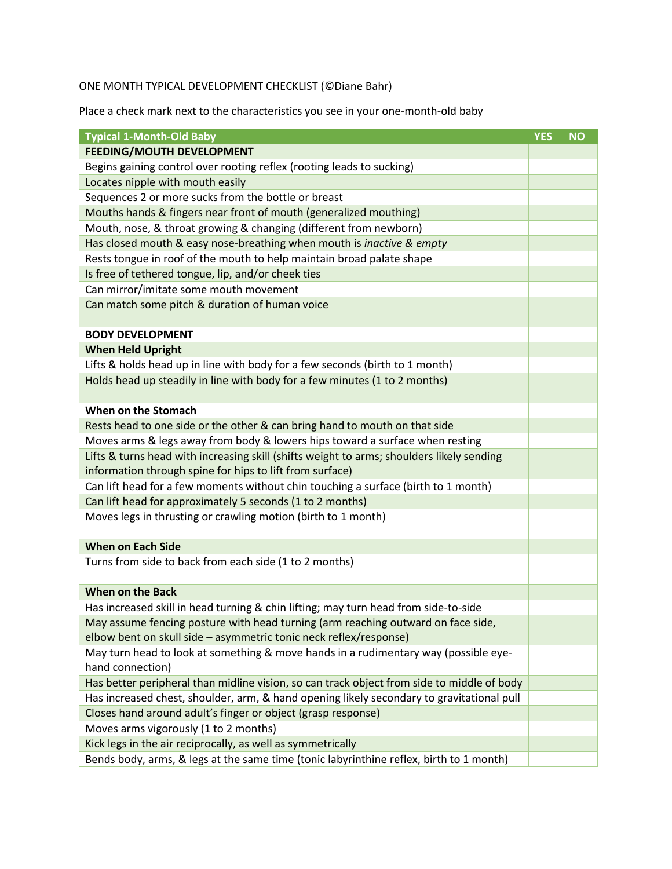## ONE MONTH TYPICAL DEVELOPMENT CHECKLIST (©Diane Bahr)

Place a check mark next to the characteristics you see in your one-month-old baby

| <b>Typical 1-Month-Old Baby</b>                                                            | <b>YES</b> | <b>NO</b> |
|--------------------------------------------------------------------------------------------|------------|-----------|
| <b>FEEDING/MOUTH DEVELOPMENT</b>                                                           |            |           |
| Begins gaining control over rooting reflex (rooting leads to sucking)                      |            |           |
| Locates nipple with mouth easily                                                           |            |           |
| Sequences 2 or more sucks from the bottle or breast                                        |            |           |
| Mouths hands & fingers near front of mouth (generalized mouthing)                          |            |           |
| Mouth, nose, & throat growing & changing (different from newborn)                          |            |           |
| Has closed mouth & easy nose-breathing when mouth is inactive & empty                      |            |           |
| Rests tongue in roof of the mouth to help maintain broad palate shape                      |            |           |
| Is free of tethered tongue, lip, and/or cheek ties                                         |            |           |
| Can mirror/imitate some mouth movement                                                     |            |           |
| Can match some pitch & duration of human voice                                             |            |           |
|                                                                                            |            |           |
| <b>BODY DEVELOPMENT</b>                                                                    |            |           |
| <b>When Held Upright</b>                                                                   |            |           |
| Lifts & holds head up in line with body for a few seconds (birth to 1 month)               |            |           |
| Holds head up steadily in line with body for a few minutes (1 to 2 months)                 |            |           |
|                                                                                            |            |           |
| When on the Stomach                                                                        |            |           |
| Rests head to one side or the other & can bring hand to mouth on that side                 |            |           |
| Moves arms & legs away from body & lowers hips toward a surface when resting               |            |           |
| Lifts & turns head with increasing skill (shifts weight to arms; shoulders likely sending  |            |           |
| information through spine for hips to lift from surface)                                   |            |           |
| Can lift head for a few moments without chin touching a surface (birth to 1 month)         |            |           |
| Can lift head for approximately 5 seconds (1 to 2 months)                                  |            |           |
| Moves legs in thrusting or crawling motion (birth to 1 month)                              |            |           |
|                                                                                            |            |           |
| <b>When on Each Side</b>                                                                   |            |           |
| Turns from side to back from each side (1 to 2 months)                                     |            |           |
|                                                                                            |            |           |
| <b>When on the Back</b>                                                                    |            |           |
| Has increased skill in head turning & chin lifting; may turn head from side-to-side        |            |           |
| May assume fencing posture with head turning (arm reaching outward on face side,           |            |           |
| elbow bent on skull side - asymmetric tonic neck reflex/response)                          |            |           |
| May turn head to look at something & move hands in a rudimentary way (possible eye-        |            |           |
| hand connection)                                                                           |            |           |
| Has better peripheral than midline vision, so can track object from side to middle of body |            |           |
| Has increased chest, shoulder, arm, & hand opening likely secondary to gravitational pull  |            |           |
| Closes hand around adult's finger or object (grasp response)                               |            |           |
| Moves arms vigorously (1 to 2 months)                                                      |            |           |
| Kick legs in the air reciprocally, as well as symmetrically                                |            |           |
| Bends body, arms, & legs at the same time (tonic labyrinthine reflex, birth to 1 month)    |            |           |